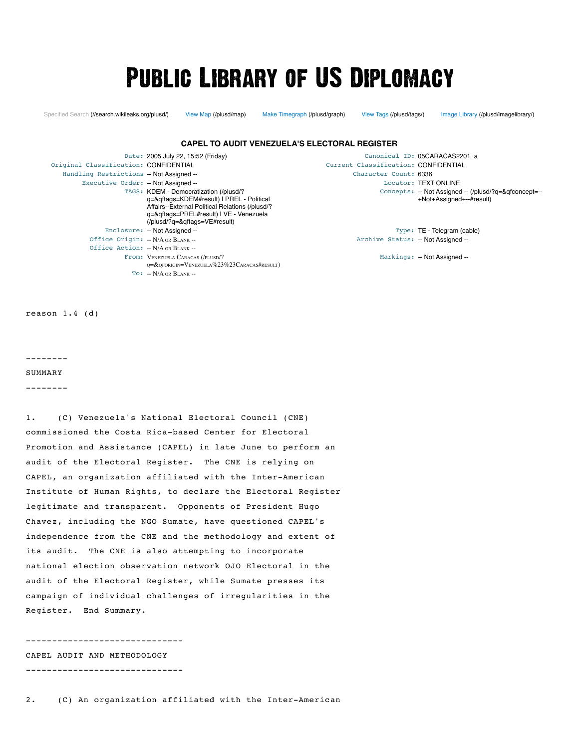# **PUBLIC LIBRARY OF US DIPLOMACY**

[Specified Search \(//search.wikileaks.org/plusd/\)](https://search.wikileaks.org/plusd/) [View Map \(/plusd/map\)](https://wikileaks.org/plusd/map) [Make Timegraph \(/plusd/graph\)](https://wikileaks.org/plusd/graph) [View Tags \(/plusd/tags/\)](https://wikileaks.org/plusd/tags/) [Image Library \(/plusd/imagelibrary/\)](https://wikileaks.org/plusd/imagelibrary/)

#### **CAPEL TO AUDIT VENEZUELA'S ELECTORAL REGISTER**

Original Classification: CONFIDENTIAL Current Classification: CONFIDENTIAL Handling Restrictions -- Not Assigned -- The Character Count: 6336 Executive Order: -- Not Assigned -- 
<br>
Executive Order: -- Not Assigned --TAGS: [KDEM - Democratization \(/plusd/?](https://wikileaks.org/plusd/?q=&qftags=KDEM#result) q=&qftags=KDEM#result) | PREL - Political [Affairs--External Political Relations \(/plusd/?](https://wikileaks.org/plusd/?q=&qftags=PREL#result) q=&qftags=PREL#result) | VE - Venezuela [\(/plusd/?q=&qftags=VE#result\)](https://wikileaks.org/plusd/?q=&qftags=VE#result) Enclosure: -- Not Assigned -- The Society of the Society of Type: TE - Telegram (cable) Office Origin: -- N/A OR BLANK -- Office Action: -- N/A OR BLANK -- From: VENEZUELA CARACAS (/PLUSD/? [Q=&QFORIGIN=VENEZUELA%23%23CARACAS#RESULT\)](https://wikileaks.org/plusd/?q=&qforigin=Venezuela%23%23Caracas#result)  $TO: -N/A$  OR  $BIANK -$ 

Date: 2005 July 22, 15:52 (Friday) Canonical ID: 05CARACAS2201 a Concepts: [-- Not Assigned -- \(/plusd/?q=&qfconcept=--](https://wikileaks.org/plusd/?q=&qfconcept=--+Not+Assigned+--#result) +Not+Assigned+--#result)

Archive Status: -- Not Assigned --

Markings: -- Not Assigned --

reason 1.4 (d)

--------

SUMMARY

--------

1. (C) Venezuela's National Electoral Council (CNE) commissioned the Costa Rica-based Center for Electoral Promotion and Assistance (CAPEL) in late June to perform an audit of the Electoral Register. The CNE is relying on CAPEL, an organization affiliated with the Inter-American Institute of Human Rights, to declare the Electoral Register legitimate and transparent. Opponents of President Hugo Chavez, including the NGO Sumate, have questioned CAPEL's independence from the CNE and the methodology and extent of its audit. The CNE is also attempting to incorporate national election observation network OJO Electoral in the audit of the Electoral Register, while Sumate presses its campaign of individual challenges of irregularities in the Register. End Summary.

------------------------------ CAPEL AUDIT AND METHODOLOGY

------------------------------

2. (C) An organization affiliated with the Inter-American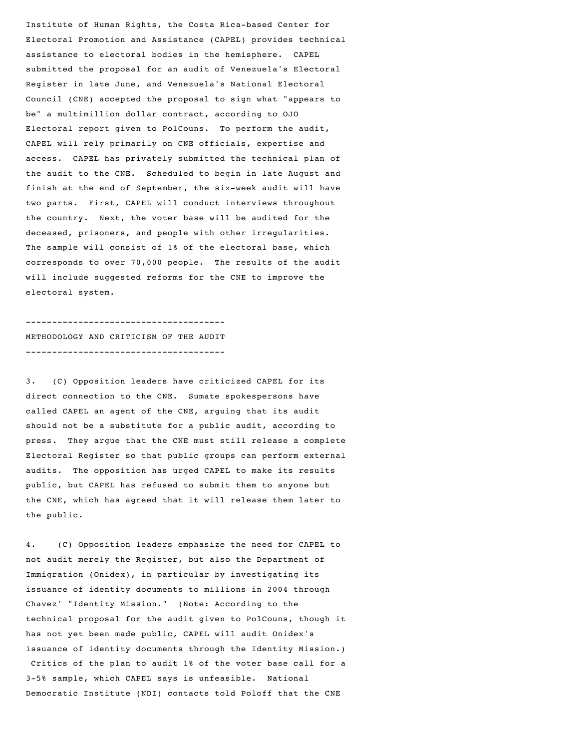Institute of Human Rights, the Costa Rica-based Center for Electoral Promotion and Assistance (CAPEL) provides technical assistance to electoral bodies in the hemisphere. CAPEL submitted the proposal for an audit of Venezuela's Electoral Register in late June, and Venezuela's National Electoral Council (CNE) accepted the proposal to sign what "appears to be" a multimillion dollar contract, according to OJO Electoral report given to PolCouns. To perform the audit, CAPEL will rely primarily on CNE officials, expertise and access. CAPEL has privately submitted the technical plan of the audit to the CNE. Scheduled to begin in late August and finish at the end of September, the six-week audit will have two parts. First, CAPEL will conduct interviews throughout the country. Next, the voter base will be audited for the deceased, prisoners, and people with other irregularities. The sample will consist of 1% of the electoral base, which corresponds to over 70,000 people. The results of the audit will include suggested reforms for the CNE to improve the electoral system.

## -------------------------------------- METHODOLOGY AND CRITICISM OF THE AUDIT --------------------------------------

3. (C) Opposition leaders have criticized CAPEL for its direct connection to the CNE. Sumate spokespersons have called CAPEL an agent of the CNE, arguing that its audit should not be a substitute for a public audit, according to press. They argue that the CNE must still release a complete Electoral Register so that public groups can perform external audits. The opposition has urged CAPEL to make its results public, but CAPEL has refused to submit them to anyone but the CNE, which has agreed that it will release them later to the public.

4. (C) Opposition leaders emphasize the need for CAPEL to not audit merely the Register, but also the Department of Immigration (Onidex), in particular by investigating its issuance of identity documents to millions in 2004 through Chavez' "Identity Mission." (Note: According to the technical proposal for the audit given to PolCouns, though it has not yet been made public, CAPEL will audit Onidex's issuance of identity documents through the Identity Mission.) Critics of the plan to audit 1% of the voter base call for a 3-5% sample, which CAPEL says is unfeasible. National Democratic Institute (NDI) contacts told Poloff that the CNE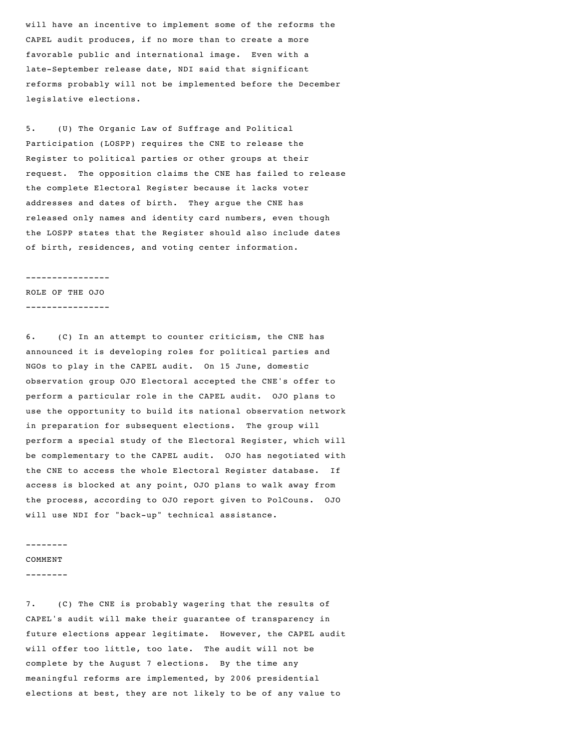will have an incentive to implement some of the reforms the CAPEL audit produces, if no more than to create a more favorable public and international image. Even with a late-September release date, NDI said that significant reforms probably will not be implemented before the December legislative elections.

5. (U) The Organic Law of Suffrage and Political Participation (LOSPP) requires the CNE to release the Register to political parties or other groups at their request. The opposition claims the CNE has failed to release the complete Electoral Register because it lacks voter addresses and dates of birth. They argue the CNE has released only names and identity card numbers, even though the LOSPP states that the Register should also include dates of birth, residences, and voting center information.

#### ----------------

ROLE OF THE OJO ----------------

6. (C) In an attempt to counter criticism, the CNE has announced it is developing roles for political parties and NGOs to play in the CAPEL audit. On 15 June, domestic observation group OJO Electoral accepted the CNE's offer to perform a particular role in the CAPEL audit. OJO plans to use the opportunity to build its national observation network in preparation for subsequent elections. The group will perform a special study of the Electoral Register, which will be complementary to the CAPEL audit. OJO has negotiated with the CNE to access the whole Electoral Register database. If access is blocked at any point, OJO plans to walk away from the process, according to OJO report given to PolCouns. OJO will use NDI for "back-up" technical assistance.

#### --------

COMMENT

--------

7. (C) The CNE is probably wagering that the results of CAPEL's audit will make their guarantee of transparency in future elections appear legitimate. However, the CAPEL audit will offer too little, too late. The audit will not be complete by the August 7 elections. By the time any meaningful reforms are implemented, by 2006 presidential elections at best, they are not likely to be of any value to